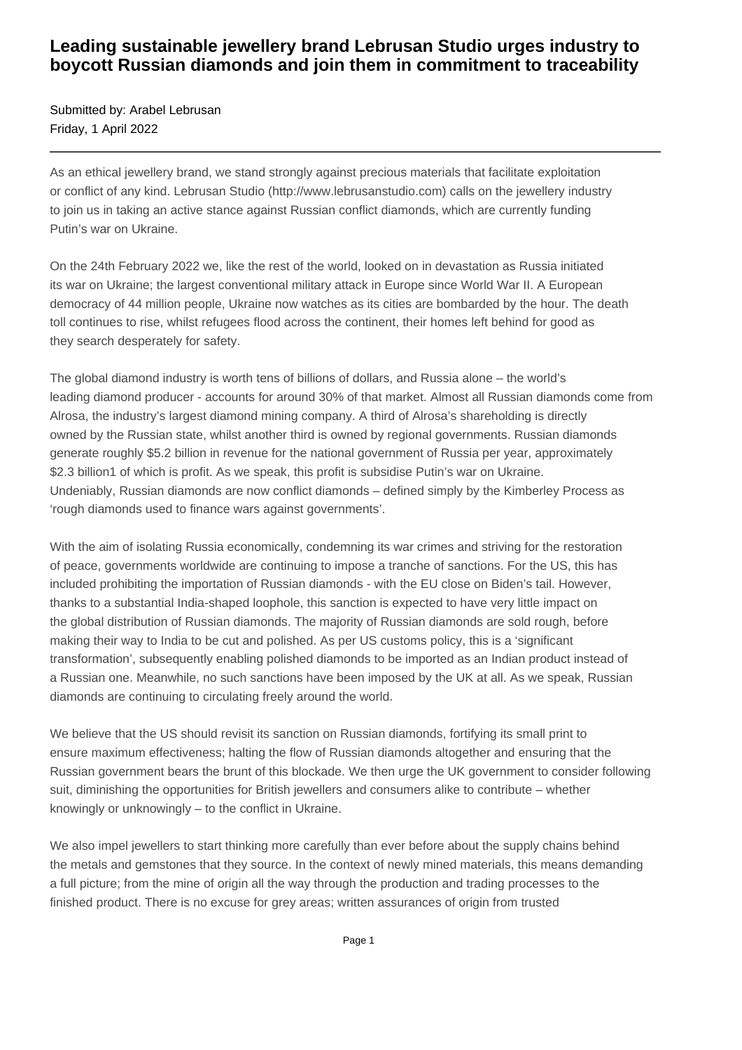## **Leading sustainable jewellery brand Lebrusan Studio urges industry to boycott Russian diamonds and join them in commitment to traceability**

Submitted by: Arabel Lebrusan Friday, 1 April 2022

As an ethical jewellery brand, we stand strongly against precious materials that facilitate exploitation or conflict of any kind. Lebrusan Studio (http://www.lebrusanstudio.com) calls on the jewellery industry to join us in taking an active stance against Russian conflict diamonds, which are currently funding Putin's war on Ukraine.

On the 24th February 2022 we, like the rest of the world, looked on in devastation as Russia initiated its war on Ukraine; the largest conventional military attack in Europe since World War II. A European democracy of 44 million people, Ukraine now watches as its cities are bombarded by the hour. The death toll continues to rise, whilst refugees flood across the continent, their homes left behind for good as they search desperately for safety.

The global diamond industry is worth tens of billions of dollars, and Russia alone – the world's leading diamond producer - accounts for around 30% of that market. Almost all Russian diamonds come from Alrosa, the industry's largest diamond mining company. A third of Alrosa's shareholding is directly owned by the Russian state, whilst another third is owned by regional governments. Russian diamonds generate roughly \$5.2 billion in revenue for the national government of Russia per year, approximately \$2.3 billion1 of which is profit. As we speak, this profit is subsidise Putin's war on Ukraine. Undeniably, Russian diamonds are now conflict diamonds – defined simply by the Kimberley Process as 'rough diamonds used to finance wars against governments'.

With the aim of isolating Russia economically, condemning its war crimes and striving for the restoration of peace, governments worldwide are continuing to impose a tranche of sanctions. For the US, this has included prohibiting the importation of Russian diamonds - with the EU close on Biden's tail. However, thanks to a substantial India-shaped loophole, this sanction is expected to have very little impact on the global distribution of Russian diamonds. The majority of Russian diamonds are sold rough, before making their way to India to be cut and polished. As per US customs policy, this is a 'significant transformation', subsequently enabling polished diamonds to be imported as an Indian product instead of a Russian one. Meanwhile, no such sanctions have been imposed by the UK at all. As we speak, Russian diamonds are continuing to circulating freely around the world.

We believe that the US should revisit its sanction on Russian diamonds, fortifying its small print to ensure maximum effectiveness; halting the flow of Russian diamonds altogether and ensuring that the Russian government bears the brunt of this blockade. We then urge the UK government to consider following suit, diminishing the opportunities for British jewellers and consumers alike to contribute – whether knowingly or unknowingly – to the conflict in Ukraine.

We also impel jewellers to start thinking more carefully than ever before about the supply chains behind the metals and gemstones that they source. In the context of newly mined materials, this means demanding a full picture; from the mine of origin all the way through the production and trading processes to the finished product. There is no excuse for grey areas; written assurances of origin from trusted